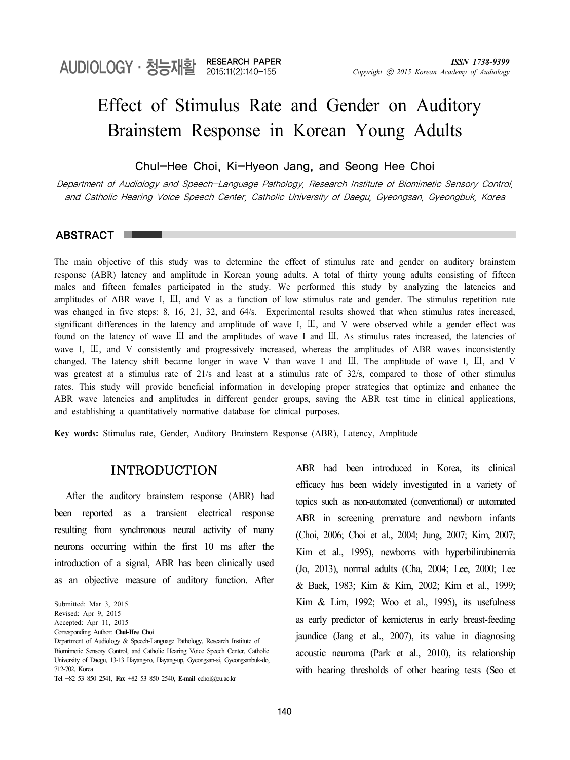# Effect of Stimulus Rate and Gender on Auditory Brainstem Response in Korean Young Adults

## Chul-Hee Choi, Ki-Hyeon Jang, and Seong Hee Choi

Department of Audiology and Speech-Language Pathology, Research Institute of Biomimetic Sensory Control, and Catholic Hearing Voice Speech Center, Catholic University of Daegu, Gyeongsan, Gyeongbuk, Korea

#### ABSTRACT

The main objective of this study was to determine the effect of stimulus rate and gender on auditory brainstem response (ABR) latency and amplitude in Korean young adults. A total of thirty young adults consisting of fifteen males and fifteen females participated in the study. We performed this study by analyzing the latencies and amplitudes of ABR wave I, Ⅲ, and V as a function of low stimulus rate and gender. The stimulus repetition rate was changed in five steps: 8, 16, 21, 32, and 64/s. Experimental results showed that when stimulus rates increased, significant differences in the latency and amplitude of wave I, III, and V were observed while a gender effect was found on the latency of wave Ⅲ and the amplitudes of wave I and Ⅲ. As stimulus rates increased, the latencies of wave I, Ⅲ, and V consistently and progressively increased, whereas the amplitudes of ABR waves inconsistently changed. The latency shift became longer in wave V than wave I and Ⅲ. The amplitude of wave I, Ⅲ, and V was greatest at a stimulus rate of 21/s and least at a stimulus rate of 32/s, compared to those of other stimulus rates. This study will provide beneficial information in developing proper strategies that optimize and enhance the ABR wave latencies and amplitudes in different gender groups, saving the ABR test time in clinical applications, and establishing a quantitatively normative database for clinical purposes.

**Key words:** Stimulus rate, Gender, Auditory Brainstem Response (ABR), Latency, Amplitude

## INTRODUCTION

After the auditory brainstem response (ABR) had been reported as a transient electrical response resulting from synchronous neural activity of many neurons occurring within the first 10 ms after the introduction of a signal, ABR has been clinically used as an objective measure of auditory function. After

ABR had been introduced in Korea, its clinical efficacy has been widely investigated in a variety of topics such as non-automated (conventional) or automated ABR in screening premature and newborn infants (Choi, 2006; Choi et al., 2004; Jung, 2007; Kim, 2007; Kim et al., 1995), newborns with hyperbilirubinemia (Jo, 2013), normal adults (Cha, 2004; Lee, 2000; Lee & Baek, 1983; Kim & Kim, 2002; Kim et al., 1999; Kim & Lim, 1992; Woo et al., 1995), its usefulness as early predictor of kernicterus in early breast-feeding jaundice (Jang et al., 2007), its value in diagnosing acoustic neuroma (Park et al., 2010), its relationship with hearing thresholds of other hearing tests (Seo et

Submitted: Mar 3, 2015

Revised: Apr 9, 2015

Accepted: Apr 11, 2015

Corresponding Author: **Chul-Hee Choi**

Department of Audiology & Speech-Language Pathology, Research Institute of Biomimetic Sensory Control, and Catholic Hearing Voice Speech Center, Catholic University of Daegu, 13-13 Hayang-ro, Hayang-up, Gyeongsan-si, Gyeongsanbuk-do, 712-702, Korea

**Tel** +82 53 850 2541, **Fax** +82 53 850 2540, **E-mail** cchoi@cu.ac.kr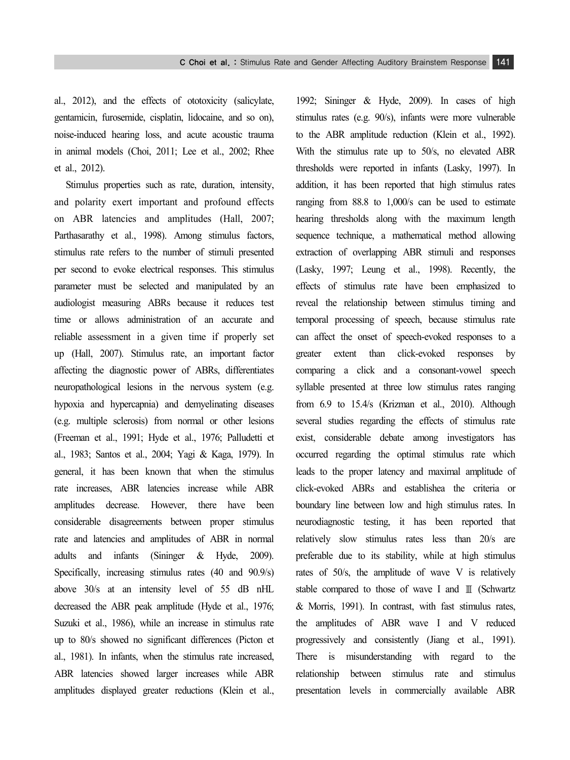al., 2012), and the effects of ototoxicity (salicylate, gentamicin, furosemide, cisplatin, lidocaine, and so on), noise-induced hearing loss, and acute acoustic trauma in animal models (Choi, 2011; Lee et al., 2002; Rhee et al., 2012).

Stimulus properties such as rate, duration, intensity, and polarity exert important and profound effects on ABR latencies and amplitudes (Hall, 2007; Parthasarathy et al., 1998). Among stimulus factors, stimulus rate refers to the number of stimuli presented per second to evoke electrical responses. This stimulus parameter must be selected and manipulated by an audiologist measuring ABRs because it reduces test time or allows administration of an accurate and reliable assessment in a given time if properly set up (Hall, 2007). Stimulus rate, an important factor affecting the diagnostic power of ABRs, differentiates neuropathological lesions in the nervous system (e.g. hypoxia and hypercapnia) and demyelinating diseases (e.g. multiple sclerosis) from normal or other lesions (Freeman et al., 1991; Hyde et al., 1976; Palludetti et al., 1983; Santos et al., 2004; Yagi & Kaga, 1979). In general, it has been known that when the stimulus rate increases, ABR latencies increase while ABR amplitudes decrease. However, there have been considerable disagreements between proper stimulus rate and latencies and amplitudes of ABR in normal adults and infants (Sininger & Hyde, 2009). Specifically, increasing stimulus rates (40 and 90.9/s) above 30/s at an intensity level of 55 dB nHL decreased the ABR peak amplitude (Hyde et al., 1976; Suzuki et al., 1986), while an increase in stimulus rate up to 80/s showed no significant differences (Picton et al., 1981). In infants, when the stimulus rate increased, ABR latencies showed larger increases while ABR amplitudes displayed greater reductions (Klein et al.,

1992; Sininger & Hyde, 2009). In cases of high stimulus rates (e.g. 90/s), infants were more vulnerable to the ABR amplitude reduction (Klein et al., 1992). With the stimulus rate up to 50/s, no elevated ABR thresholds were reported in infants (Lasky, 1997). In addition, it has been reported that high stimulus rates ranging from 88.8 to 1,000/s can be used to estimate hearing thresholds along with the maximum length sequence technique, a mathematical method allowing extraction of overlapping ABR stimuli and responses (Lasky, 1997; Leung et al., 1998). Recently, the effects of stimulus rate have been emphasized to reveal the relationship between stimulus timing and temporal processing of speech, because stimulus rate can affect the onset of speech-evoked responses to a greater extent than click-evoked responses by comparing a click and a consonant-vowel speech syllable presented at three low stimulus rates ranging from 6.9 to 15.4/s (Krizman et al., 2010). Although several studies regarding the effects of stimulus rate exist, considerable debate among investigators has occurred regarding the optimal stimulus rate which leads to the proper latency and maximal amplitude of click-evoked ABRs and establishea the criteria or boundary line between low and high stimulus rates. In neurodiagnostic testing, it has been reported that relatively slow stimulus rates less than 20/s are preferable due to its stability, while at high stimulus rates of 50/s, the amplitude of wave V is relatively stable compared to those of wave I and Ⅲ (Schwartz & Morris, 1991). In contrast, with fast stimulus rates, the amplitudes of ABR wave I and V reduced progressively and consistently (Jiang et al., 1991). There is misunderstanding with regard to the relationship between stimulus rate and stimulus presentation levels in commercially available ABR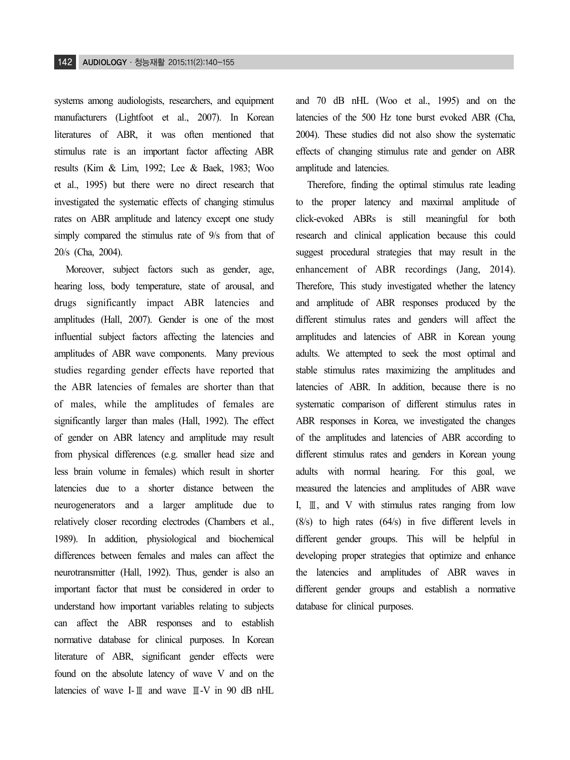systems among audiologists, researchers, and equipment manufacturers (Lightfoot et al., 2007). In Korean literatures of ABR, it was often mentioned that stimulus rate is an important factor affecting ABR results (Kim & Lim, 1992; Lee & Baek, 1983; Woo et al., 1995) but there were no direct research that investigated the systematic effects of changing stimulus rates on ABR amplitude and latency except one study simply compared the stimulus rate of 9/s from that of 20/s (Cha, 2004).

Moreover, subject factors such as gender, age, hearing loss, body temperature, state of arousal, and drugs significantly impact ABR latencies and amplitudes (Hall, 2007). Gender is one of the most influential subject factors affecting the latencies and amplitudes of ABR wave components. Many previous studies regarding gender effects have reported that the ABR latencies of females are shorter than that of males, while the amplitudes of females are significantly larger than males (Hall, 1992). The effect of gender on ABR latency and amplitude may result from physical differences (e.g. smaller head size and less brain volume in females) which result in shorter latencies due to a shorter distance between the neurogenerators and a larger amplitude due to relatively closer recording electrodes (Chambers et al., 1989). In addition, physiological and biochemical differences between females and males can affect the neurotransmitter (Hall, 1992). Thus, gender is also an important factor that must be considered in order to understand how important variables relating to subjects can affect the ABR responses and to establish normative database for clinical purposes. In Korean literature of ABR, significant gender effects were found on the absolute latency of wave V and on the latencies of wave I-Ⅲ and wave Ⅲ-V in 90 dB nHL

and 70 dB nHL (Woo et al., 1995) and on the latencies of the 500 Hz tone burst evoked ABR (Cha, 2004). These studies did not also show the systematic effects of changing stimulus rate and gender on ABR amplitude and latencies.

Therefore, finding the optimal stimulus rate leading to the proper latency and maximal amplitude of click-evoked ABRs is still meaningful for both research and clinical application because this could suggest procedural strategies that may result in the enhancement of ABR recordings (Jang, 2014). Therefore, This study investigated whether the latency and amplitude of ABR responses produced by the different stimulus rates and genders will affect the amplitudes and latencies of ABR in Korean young adults. We attempted to seek the most optimal and stable stimulus rates maximizing the amplitudes and latencies of ABR. In addition, because there is no systematic comparison of different stimulus rates in ABR responses in Korea, we investigated the changes of the amplitudes and latencies of ABR according to different stimulus rates and genders in Korean young adults with normal hearing. For this goal, we measured the latencies and amplitudes of ABR wave I, Ⅲ, and V with stimulus rates ranging from low (8/s) to high rates (64/s) in five different levels in different gender groups. This will be helpful in developing proper strategies that optimize and enhance the latencies and amplitudes of ABR waves in different gender groups and establish a normative database for clinical purposes.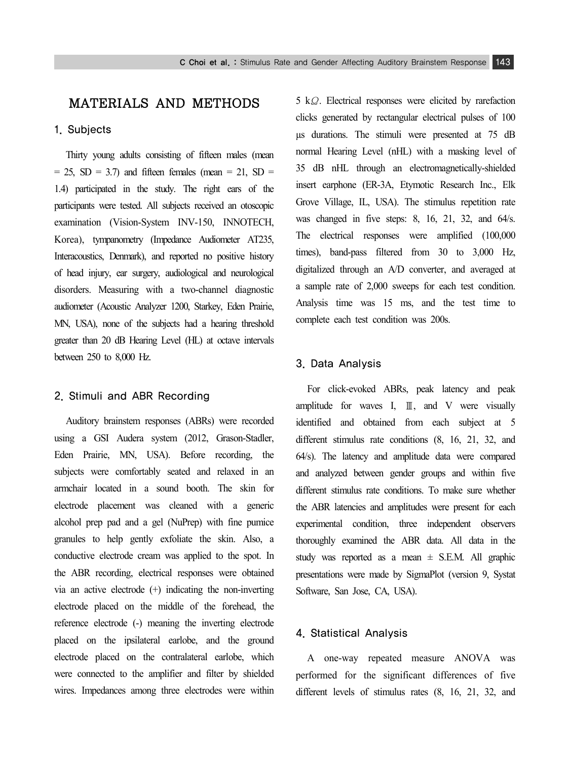# MATERIALS AND METHODS

#### 1. Subjects

Thirty young adults consisting of fifteen males (mean  $= 25$ , SD  $= 3.7$ ) and fifteen females (mean  $= 21$ , SD  $=$ 1.4) participated in the study. The right ears of the participants were tested. All subjects received an otoscopic examination (Vision-System INV-150, INNOTECH, Korea), tympanometry (Impedance Audiometer AT235, Interacoustics, Denmark), and reported no positive history of head injury, ear surgery, audiological and neurological disorders. Measuring with a two-channel diagnostic audiometer (Acoustic Analyzer 1200, Starkey, Eden Prairie, MN, USA), none of the subjects had a hearing threshold greater than 20 dB Hearing Level (HL) at octave intervals between 250 to 8,000 Hz.

### 2. Stimuli and ABR Recording

Auditory brainstem responses (ABRs) were recorded using a GSI Audera system (2012, Grason-Stadler, Eden Prairie, MN, USA). Before recording, the subjects were comfortably seated and relaxed in an armchair located in a sound booth. The skin for electrode placement was cleaned with a generic alcohol prep pad and a gel (NuPrep) with fine pumice granules to help gently exfoliate the skin. Also, a conductive electrode cream was applied to the spot. In the ABR recording, electrical responses were obtained via an active electrode (+) indicating the non-inverting electrode placed on the middle of the forehead, the reference electrode (-) meaning the inverting electrode placed on the ipsilateral earlobe, and the ground electrode placed on the contralateral earlobe, which were connected to the amplifier and filter by shielded wires. Impedances among three electrodes were within

5 kΩ. Electrical responses were elicited by rarefaction clicks generated by rectangular electrical pulses of 100 µs durations. The stimuli were presented at 75 dB normal Hearing Level (nHL) with a masking level of 35 dB nHL through an electromagnetically-shielded insert earphone (ER-3A, Etymotic Research Inc., Elk Grove Village, IL, USA). The stimulus repetition rate was changed in five steps: 8, 16, 21, 32, and 64/s. The electrical responses were amplified (100,000 times), band-pass filtered from 30 to 3,000 Hz, digitalized through an A/D converter, and averaged at a sample rate of 2,000 sweeps for each test condition. Analysis time was 15 ms, and the test time to complete each test condition was 200s.

#### 3. Data Analysis

For click-evoked ABRs, peak latency and peak amplitude for waves I,  $\mathbb{I}$ , and V were visually identified and obtained from each subject at 5 different stimulus rate conditions (8, 16, 21, 32, and 64/s). The latency and amplitude data were compared and analyzed between gender groups and within five different stimulus rate conditions. To make sure whether the ABR latencies and amplitudes were present for each experimental condition, three independent observers thoroughly examined the ABR data. All data in the study was reported as a mean  $\pm$  S.E.M. All graphic presentations were made by SigmaPlot (version 9, Systat Software, San Jose, CA, USA).

#### 4. Statistical Analysis

A one-way repeated measure ANOVA was performed for the significant differences of five different levels of stimulus rates (8, 16, 21, 32, and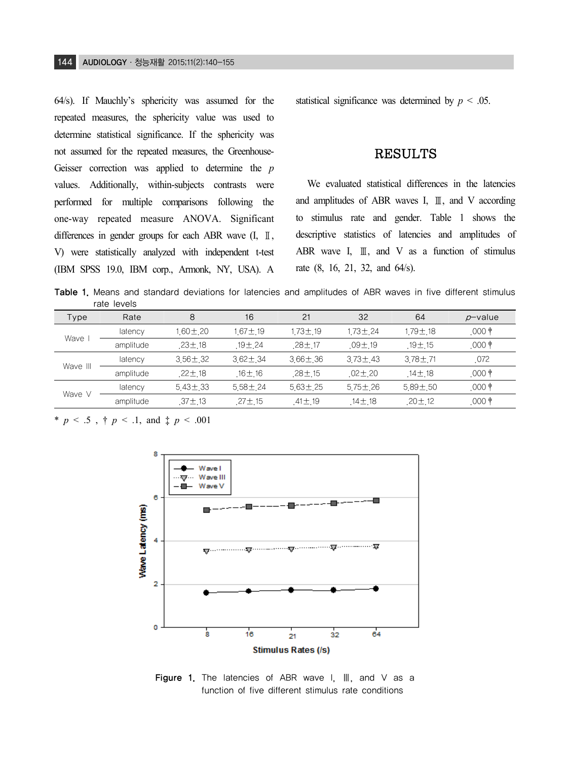64/s). If Mauchly's sphericity was assumed for the repeated measures, the sphericity value was used to determine statistical significance. If the sphericity was not assumed for the repeated measures, the Greenhouse-Geisser correction was applied to determine the *p* values. Additionally, within-subjects contrasts were performed for multiple comparisons following the one-way repeated measure ANOVA. Significant differences in gender groups for each ABR wave (I, Ⅱ, V) were statistically analyzed with independent t-test (IBM SPSS 19.0, IBM corp., Armonk, NY, USA). A

statistical significance was determined by  $p < .05$ .

## RESULTS

We evaluated statistical differences in the latencies and amplitudes of ABR waves I, Ⅲ, and V according to stimulus rate and gender. Table 1 shows the descriptive statistics of latencies and amplitudes of ABR wave I,  $\mathbb{I}$ , and V as a function of stimulus rate (8, 16, 21, 32, and 64/s).

Table 1. Means and standard deviations for latencies and amplitudes of ABR waves in five different stimulus rate levels

| Type     | Rate      | 8             | 16           | 21           | 32            | 64           | p-value        |
|----------|-----------|---------------|--------------|--------------|---------------|--------------|----------------|
| Wave     | latency   | $60 \pm 20$   | 167土 19      | $173 + 19$   | $173 + 24$    | 1 79± 18     | .000 †         |
|          | amplitude | $.23 \pm .18$ | $19 + 24$    | $28 \pm 17$  | $09 \pm 19$   | $19 + 15$    | .000 $\dagger$ |
| Wave III | latency   | $356 \pm 32$  | $362 \pm 34$ | $366 \pm 36$ | $373 \pm 43$  | $378 + 71$   | 072            |
|          | amplitude | $22 \pm 18$   | .16±.16      | $28 + 15$    | $02 \pm 20$   | 14 $\pm$ 18  | .000 †         |
|          | latency   | $543 \pm 33$  | $558 \pm 24$ | $563 \pm 25$ | $575 \pm 26$  | $589 \pm 50$ | .000 $\dagger$ |
| Wave V   | amplitude | $.37 \pm .13$ | $27 \pm 15$  | $41 \pm 19$  | $.14 \pm .18$ | $20 \pm 12$  | $.000*$        |

\* *p* < .5 , † *p* < .1, and ‡ *p* < .001



Figure 1. The latencies of ABR wave I, Ⅲ, and V as a function of five different stimulus rate conditions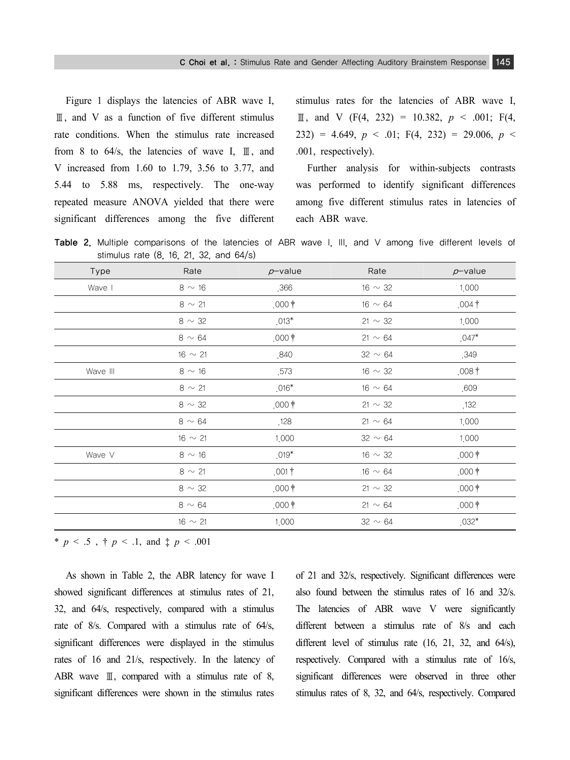Figure 1 displays the latencies of ABR wave I, Ⅲ, and V as a function of five different stimulus rate conditions. When the stimulus rate increased from 8 to  $64/s$ , the latencies of wave I,  $\mathbb{I}$ , and V increased from 1.60 to 1.79, 3.56 to 3.77, and 5.44 to 5.88 ms, respectively. The one-way repeated measure ANOVA yielded that there were significant differences among the five different

stimulus rates for the latencies of ABR wave I,  $\text{I}, \text{and } \text{V} \text{ (F(4, 232) = 10.382, } p \le .001; \text{ F(4, 232)}$  $(232) = 4.649$ ,  $p < .01$ ; F(4, 232) = 29.006,  $p <$ .001, respectively).

Further analysis for within-subjects contrasts was performed to identify significant differences among five different stimulus rates in latencies of each ABR wave.

Table 2. Multiple comparisons of the latencies of ABR wave I, III, and V among five different levels of stimulus rate (8, 16, 21, 32, and 64/s)

| Type     | Rate          | $p$ -value        | Rate         | $p$ -value       |
|----------|---------------|-------------------|--------------|------------------|
| Wave I   | $8 \sim 16$   | ,366              | 16 $\sim$ 32 | 1,000            |
|          | $8 \sim 21$   | $,000$ $\dagger$  | 16 $\sim$ 64 | $.004\dagger$    |
|          | 8 $\sim$ 32   | $.013*$           | 21 $\sim$ 32 | 1,000            |
|          | $8 \sim 64$   | $,000$ $\dagger$  | $21 \sim 64$ | $.047*$          |
|          | $16 \sim 21$  | ,840              | $32 \sim 64$ | .349             |
| Wave III | $8 \sim 16$   | .573              | 16 $\sim$ 32 | $,008\dagger$    |
|          | $8 \sim 21$   | $.016*$           | 16 $\sim$ 64 | .609             |
|          | $8 \sim 32$   | $,000$ $\dagger$  | 21 $\sim$ 32 | .132             |
|          | $8 \sim 64$   | .128              | $21 \sim 64$ | 1,000            |
|          | $16 \sim 21$  | 1,000             | 32 $\sim$ 64 | 1,000            |
| Wave V   | $8 \sim 16$   | $.019*$           | 16 $\sim$ 32 | $,000$ $\dagger$ |
|          | $8 \sim 21$   | .001 <sup>†</sup> | 16 $\sim$ 64 | $,000$ $\dagger$ |
|          | 8 $\sim$ 32   | $,000$ $\dagger$  | 21 $\sim$ 32 | $,000$ $\dagger$ |
|          | $8\,\sim\,64$ | $,000$ $\dagger$  | $21 \sim 64$ | $,000$ $\dagger$ |
|          | $16 \sim 21$  | 1,000             | $32 \sim 64$ | $.032*$          |

\* *p* < .5,  $\uparrow$  *p* < .1, and  $\uparrow$  *p* < .001

As shown in Table 2, the ABR latency for wave I showed significant differences at stimulus rates of 21, 32, and 64/s, respectively, compared with a stimulus rate of 8/s. Compared with a stimulus rate of 64/s, significant differences were displayed in the stimulus rates of 16 and 21/s, respectively. In the latency of ABR wave  $\mathbb{I}$ , compared with a stimulus rate of 8, significant differences were shown in the stimulus rates of 21 and 32/s, respectively. Significant differences were also found between the stimulus rates of 16 and 32/s. The latencies of ABR wave V were significantly different between a stimulus rate of 8/s and each different level of stimulus rate (16, 21, 32, and 64/s), respectively. Compared with a stimulus rate of 16/s, significant differences were observed in three other stimulus rates of 8, 32, and 64/s, respectively. Compared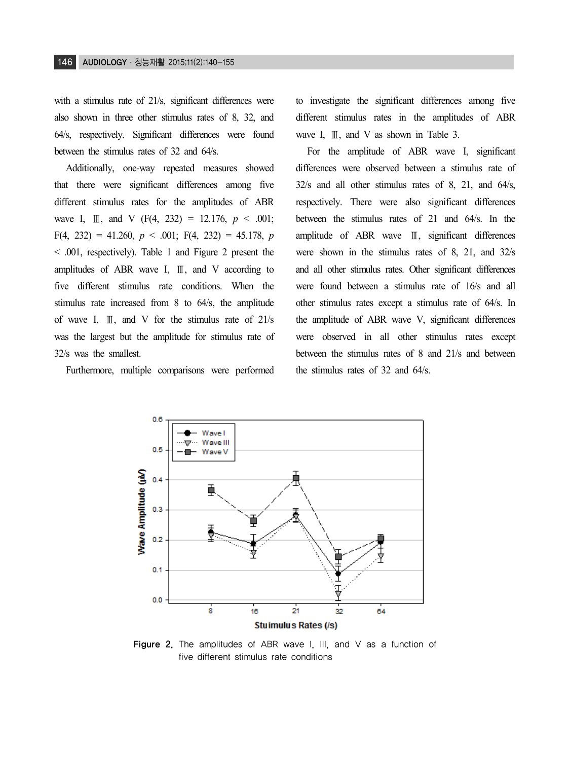with a stimulus rate of 21/s, significant differences were also shown in three other stimulus rates of 8, 32, and 64/s, respectively. Significant differences were found between the stimulus rates of 32 and 64/s.

Additionally, one-way repeated measures showed that there were significant differences among five different stimulus rates for the amplitudes of ABR wave I,  $\text{I\!I}$ , and V (F(4, 232) = 12.176,  $p \le 0.001$ ; F(4, 232) = 41.260, *p* < .001; F(4, 232) = 45.178, *p* < .001, respectively). Table 1 and Figure 2 present the amplitudes of ABR wave I,  $\mathbb{I}$ , and V according to five different stimulus rate conditions. When the stimulus rate increased from 8 to 64/s, the amplitude of wave I,  $\mathbb{I}$ , and V for the stimulus rate of 21/s was the largest but the amplitude for stimulus rate of 32/s was the smallest.

Furthermore, multiple comparisons were performed

to investigate the significant differences among five different stimulus rates in the amplitudes of ABR wave I, Ⅲ, and V as shown in Table 3.

For the amplitude of ABR wave I, significant differences were observed between a stimulus rate of 32/s and all other stimulus rates of 8, 21, and 64/s, respectively. There were also significant differences between the stimulus rates of 21 and 64/s. In the amplitude of ABR wave Ⅲ, significant differences were shown in the stimulus rates of 8, 21, and 32/s and all other stimulus rates. Other significant differences were found between a stimulus rate of 16/s and all other stimulus rates except a stimulus rate of 64/s. In the amplitude of ABR wave V, significant differences were observed in all other stimulus rates except between the stimulus rates of 8 and 21/s and between the stimulus rates of 32 and 64/s.



Figure 2. The amplitudes of ABR wave I. III, and V as a function of five different stimulus rate conditions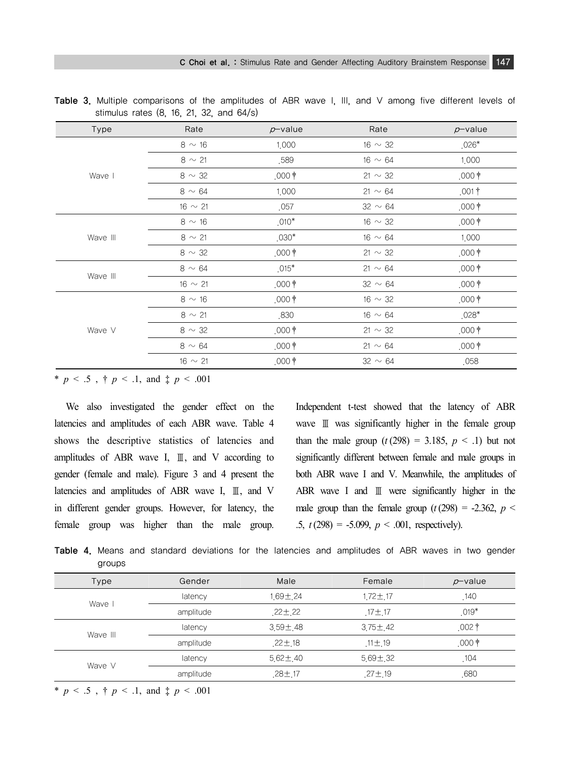| Type     | Rate         | $p$ -value       | Rate         | $p$ -value        |
|----------|--------------|------------------|--------------|-------------------|
|          | $8 \sim 16$  | 1,000            | $16 \sim 32$ | $.026*$           |
|          | $8 \sim 21$  | .589             | $16 \sim 64$ | 1,000             |
| Wave I   | 8 $\sim$ 32  | $,000$ $\dagger$ | 21 $\sim$ 32 | $,000$ $\dagger$  |
|          | $8 \sim 64$  | 1,000            | $21 \sim 64$ | $.001$ †          |
|          | $16 \sim 21$ | .057             | $32 \sim 64$ | $,000$ $\dagger$  |
|          | $8 \sim 16$  | $.010*$          | 16 $\sim$ 32 | $,000$ $\dagger$  |
| Wave III | $8 \sim 21$  | $.030*$          | $16 \sim 64$ | 1,000             |
|          | $8 \sim 32$  | $,000$ $\dagger$ | 21 $\sim$ 32 | $,000$ $\dagger$  |
|          | $8 \sim 64$  | $.015*$          | 21 $\sim$ 64 | $.000$ †          |
| Wave III | $16 \sim 21$ | $.000$ †         | $32 \sim 64$ | $,000$ †          |
|          | $8 \sim 16$  | $,000$ $\dagger$ | 16 $\sim$ 32 | .000 <sup>†</sup> |
|          | $8 \sim 21$  | .830             | $16 \sim 64$ | $.028*$           |
| Wave V   | $8 \sim 32$  | $,000$ $\dagger$ | 21 $\sim$ 32 | $,000$ $\dagger$  |
|          | $8 \sim 64$  | $,000$ $\dagger$ | $21 \sim 64$ | $,000$ $\dagger$  |
|          | $16 \sim 21$ | $,000$ $\dagger$ | 32 $\sim$ 64 | .058              |

Table 3. Multiple comparisons of the amplitudes of ABR wave I, III, and V among five different levels of stimulus rates (8, 16, 21, 32, and 64/s)

\* *p* < .5 , † *p* < .1, and ‡ *p* < .001

We also investigated the gender effect on the latencies and amplitudes of each ABR wave. Table 4 shows the descriptive statistics of latencies and amplitudes of ABR wave I, Ⅲ, and V according to gender (female and male). Figure 3 and 4 present the latencies and amplitudes of ABR wave I, Ⅲ, and V in different gender groups. However, for latency, the female group was higher than the male group. Independent t-test showed that the latency of ABR wave Ⅲ was significantly higher in the female group than the male group  $(t(298) = 3.185, p < .1)$  but not significantly different between female and male groups in both ABR wave I and V. Meanwhile, the amplitudes of ABR wave I and Ⅲ were significantly higher in the male group than the female group  $(t(298) = -2.362, p <$ .5, *t* (298) = -5.099, *p* < .001, respectively).

Table 4. Means and standard deviations for the latencies and amplitudes of ABR waves in two gender groups

| Type     | Gender    | Male           | Female         | $p$ -value        |
|----------|-----------|----------------|----------------|-------------------|
| Wave     | latency   | 1.69±24        | 1.72±17        | .140              |
|          | amplitude | $22 \pm 22$    | $.17 \pm .17$  | $.019*$           |
|          | latency   | $3.59 \pm 48$  | $3.75 \pm 42$  | .002 <sup>†</sup> |
| Wave III | amplitude | $22 \pm 18$    | $.11 \pm .19$  | $,000$ $\dagger$  |
|          | latency   | $5.62 \pm .40$ | $5.69 \pm .32$ | .104              |
| Wave V   | amplitude | $.28 \pm .17$  | $.27 \pm .19$  | ,680              |
|          |           |                |                |                   |

\* *p* < .5 , † *p* < .1, and ‡ *p* < .001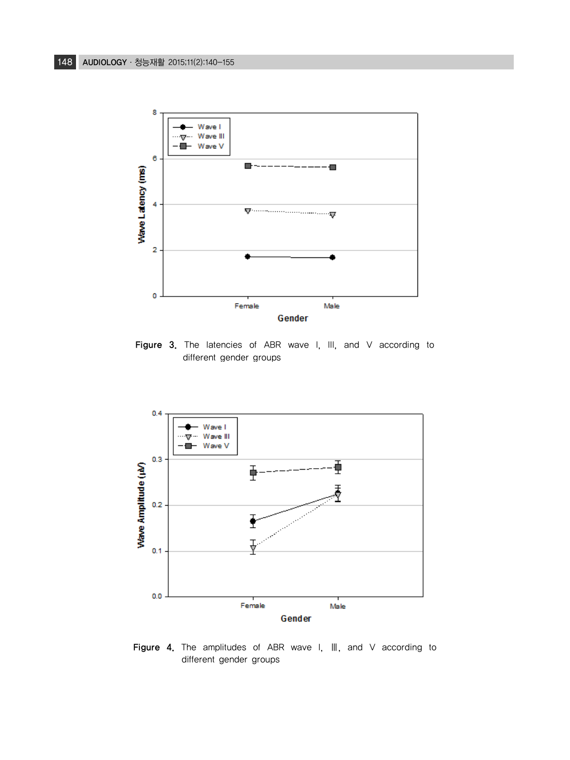

Figure 3. The latencies of ABR wave I, III, and V according to different gender groups



Figure 4. The amplitudes of ABR wave I, III, and V according to different gender groups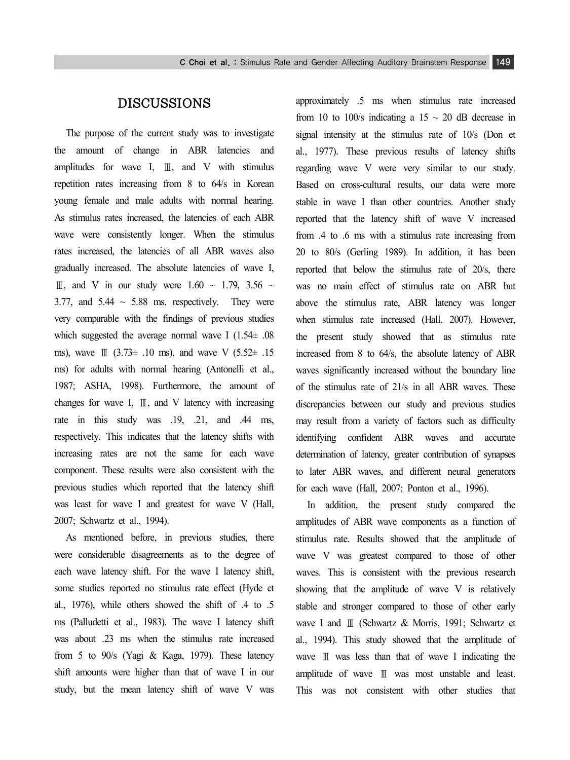# DISCUSSIONS

The purpose of the current study was to investigate the amount of change in ABR latencies and amplitudes for wave I, Ⅲ, and V with stimulus repetition rates increasing from 8 to 64/s in Korean young female and male adults with normal hearing. As stimulus rates increased, the latencies of each ABR wave were consistently longer. When the stimulus rates increased, the latencies of all ABR waves also gradually increased. The absolute latencies of wave I, III, and V in our study were  $1.60 \sim 1.79$ ,  $3.56 \sim$ 3.77, and  $5.44 \sim 5.88$  ms, respectively. They were very comparable with the findings of previous studies which suggested the average normal wave I (1.54± .08 ms), wave  $\text{I}$  (3.73± .10 ms), and wave V (5.52± .15 ms) for adults with normal hearing (Antonelli et al., 1987; ASHA, 1998). Furthermore, the amount of changes for wave I,  $\mathbb{I}$ , and V latency with increasing rate in this study was .19, .21, and .44 ms, respectively. This indicates that the latency shifts with increasing rates are not the same for each wave component. These results were also consistent with the previous studies which reported that the latency shift was least for wave I and greatest for wave V (Hall, 2007; Schwartz et al., 1994).

As mentioned before, in previous studies, there were considerable disagreements as to the degree of each wave latency shift. For the wave I latency shift, some studies reported no stimulus rate effect (Hyde et al., 1976), while others showed the shift of .4 to .5 ms (Palludetti et al., 1983). The wave I latency shift was about .23 ms when the stimulus rate increased from 5 to 90/s (Yagi & Kaga, 1979). These latency shift amounts were higher than that of wave I in our study, but the mean latency shift of wave V was

approximately .5 ms when stimulus rate increased from 10 to 100/s indicating a 15  $\sim$  20 dB decrease in signal intensity at the stimulus rate of 10/s (Don et al., 1977). These previous results of latency shifts regarding wave V were very similar to our study. Based on cross-cultural results, our data were more stable in wave I than other countries. Another study reported that the latency shift of wave V increased from .4 to .6 ms with a stimulus rate increasing from 20 to 80/s (Gerling 1989). In addition, it has been reported that below the stimulus rate of 20/s, there was no main effect of stimulus rate on ABR but above the stimulus rate, ABR latency was longer when stimulus rate increased (Hall, 2007). However, the present study showed that as stimulus rate increased from 8 to 64/s, the absolute latency of ABR waves significantly increased without the boundary line of the stimulus rate of 21/s in all ABR waves. These discrepancies between our study and previous studies may result from a variety of factors such as difficulty identifying confident ABR waves and accurate determination of latency, greater contribution of synapses to later ABR waves, and different neural generators for each wave (Hall, 2007; Ponton et al., 1996).

In addition, the present study compared the amplitudes of ABR wave components as a function of stimulus rate. Results showed that the amplitude of wave V was greatest compared to those of other waves. This is consistent with the previous research showing that the amplitude of wave V is relatively stable and stronger compared to those of other early wave I and Ⅲ (Schwartz & Morris, 1991; Schwartz et al., 1994). This study showed that the amplitude of wave Ⅲ was less than that of wave I indicating the amplitude of wave Ⅲ was most unstable and least. This was not consistent with other studies that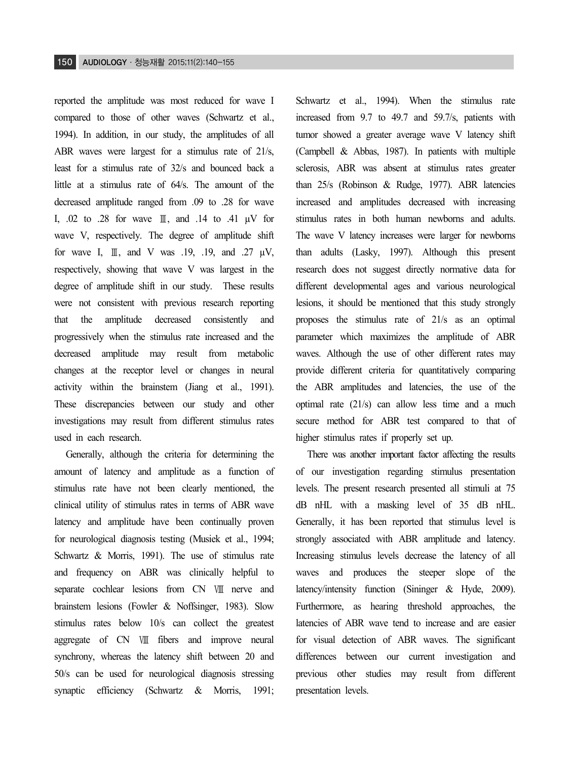reported the amplitude was most reduced for wave I compared to those of other waves (Schwartz et al., 1994). In addition, in our study, the amplitudes of all ABR waves were largest for a stimulus rate of 21/s, least for a stimulus rate of 32/s and bounced back a little at a stimulus rate of 64/s. The amount of the decreased amplitude ranged from .09 to .28 for wave I, .02 to .28 for wave Ⅲ, and .14 to .41 µV for wave V, respectively. The degree of amplitude shift for wave I,  $\mathbb{I}$ , and V was .19, .19, and .27  $\mu$ V, respectively, showing that wave V was largest in the degree of amplitude shift in our study. These results were not consistent with previous research reporting that the amplitude decreased consistently and progressively when the stimulus rate increased and the decreased amplitude may result from metabolic changes at the receptor level or changes in neural activity within the brainstem (Jiang et al., 1991). These discrepancies between our study and other investigations may result from different stimulus rates used in each research.

Generally, although the criteria for determining the amount of latency and amplitude as a function of stimulus rate have not been clearly mentioned, the clinical utility of stimulus rates in terms of ABR wave latency and amplitude have been continually proven for neurological diagnosis testing (Musiek et al., 1994; Schwartz & Morris, 1991). The use of stimulus rate and frequency on ABR was clinically helpful to separate cochlear lesions from CN Ⅶ nerve and brainstem lesions (Fowler & Noffsinger, 1983). Slow stimulus rates below 10/s can collect the greatest aggregate of CN Ⅷ fibers and improve neural synchrony, whereas the latency shift between 20 and 50/s can be used for neurological diagnosis stressing synaptic efficiency (Schwartz & Morris, 1991;

Schwartz et al., 1994). When the stimulus rate increased from 9.7 to 49.7 and 59.7/s, patients with tumor showed a greater average wave V latency shift (Campbell & Abbas, 1987). In patients with multiple sclerosis, ABR was absent at stimulus rates greater than 25/s (Robinson & Rudge, 1977). ABR latencies increased and amplitudes decreased with increasing stimulus rates in both human newborns and adults. The wave V latency increases were larger for newborns than adults (Lasky, 1997). Although this present research does not suggest directly normative data for different developmental ages and various neurological lesions, it should be mentioned that this study strongly proposes the stimulus rate of 21/s as an optimal parameter which maximizes the amplitude of ABR waves. Although the use of other different rates may provide different criteria for quantitatively comparing the ABR amplitudes and latencies, the use of the optimal rate (21/s) can allow less time and a much secure method for ABR test compared to that of higher stimulus rates if properly set up.

There was another important factor affecting the results of our investigation regarding stimulus presentation levels. The present research presented all stimuli at 75 dB nHL with a masking level of 35 dB nHL. Generally, it has been reported that stimulus level is strongly associated with ABR amplitude and latency. Increasing stimulus levels decrease the latency of all waves and produces the steeper slope of the latency/intensity function (Sininger & Hyde, 2009). Furthermore, as hearing threshold approaches, the latencies of ABR wave tend to increase and are easier for visual detection of ABR waves. The significant differences between our current investigation and previous other studies may result from different presentation levels.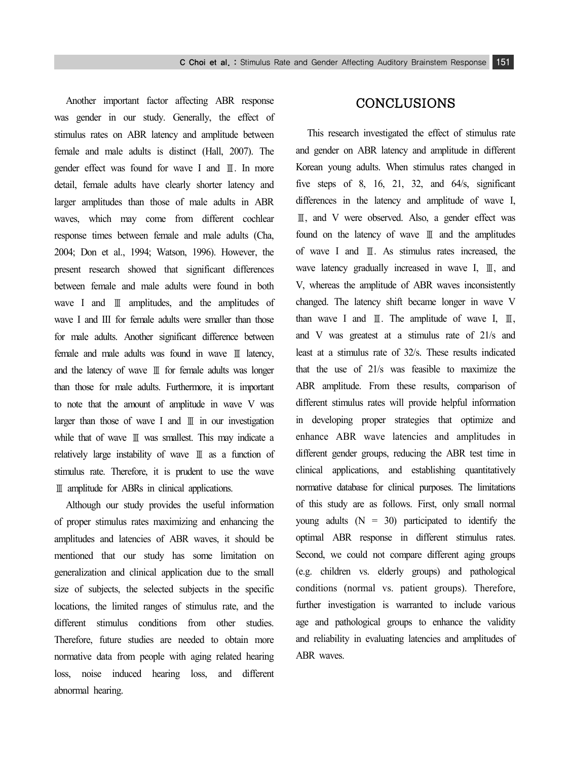Another important factor affecting ABR response was gender in our study. Generally, the effect of stimulus rates on ABR latency and amplitude between female and male adults is distinct (Hall, 2007). The gender effect was found for wave I and Ⅲ. In more detail, female adults have clearly shorter latency and larger amplitudes than those of male adults in ABR waves, which may come from different cochlear response times between female and male adults (Cha, 2004; Don et al., 1994; Watson, 1996). However, the present research showed that significant differences between female and male adults were found in both wave I and Ⅲ amplitudes, and the amplitudes of wave I and III for female adults were smaller than those for male adults. Another significant difference between female and male adults was found in wave Ⅲ latency, and the latency of wave Ⅲ for female adults was longer than those for male adults. Furthermore, it is important to note that the amount of amplitude in wave V was larger than those of wave I and Ⅲ in our investigation while that of wave Ⅲ was smallest. This may indicate a relatively large instability of wave Ⅲ as a function of stimulus rate. Therefore, it is prudent to use the wave Ⅲ amplitude for ABRs in clinical applications.

Although our study provides the useful information of proper stimulus rates maximizing and enhancing the amplitudes and latencies of ABR waves, it should be mentioned that our study has some limitation on generalization and clinical application due to the small size of subjects, the selected subjects in the specific locations, the limited ranges of stimulus rate, and the different stimulus conditions from other studies. Therefore, future studies are needed to obtain more normative data from people with aging related hearing loss, noise induced hearing loss, and different abnormal hearing.

# CONCLUSIONS

This research investigated the effect of stimulus rate and gender on ABR latency and amplitude in different Korean young adults. When stimulus rates changed in five steps of 8, 16, 21, 32, and 64/s, significant differences in the latency and amplitude of wave I, Ⅲ, and V were observed. Also, a gender effect was found on the latency of wave Ⅲ and the amplitudes of wave I and Ⅲ. As stimulus rates increased, the wave latency gradually increased in wave I, Ⅲ, and V, whereas the amplitude of ABR waves inconsistently changed. The latency shift became longer in wave V than wave I and  $\mathbb{I}$ . The amplitude of wave I,  $\mathbb{I}$ , and V was greatest at a stimulus rate of 21/s and least at a stimulus rate of 32/s. These results indicated that the use of 21/s was feasible to maximize the ABR amplitude. From these results, comparison of different stimulus rates will provide helpful information in developing proper strategies that optimize and enhance ABR wave latencies and amplitudes in different gender groups, reducing the ABR test time in clinical applications, and establishing quantitatively normative database for clinical purposes. The limitations of this study are as follows. First, only small normal young adults  $(N = 30)$  participated to identify the optimal ABR response in different stimulus rates. Second, we could not compare different aging groups (e.g. children vs. elderly groups) and pathological conditions (normal vs. patient groups). Therefore, further investigation is warranted to include various age and pathological groups to enhance the validity and reliability in evaluating latencies and amplitudes of ABR waves.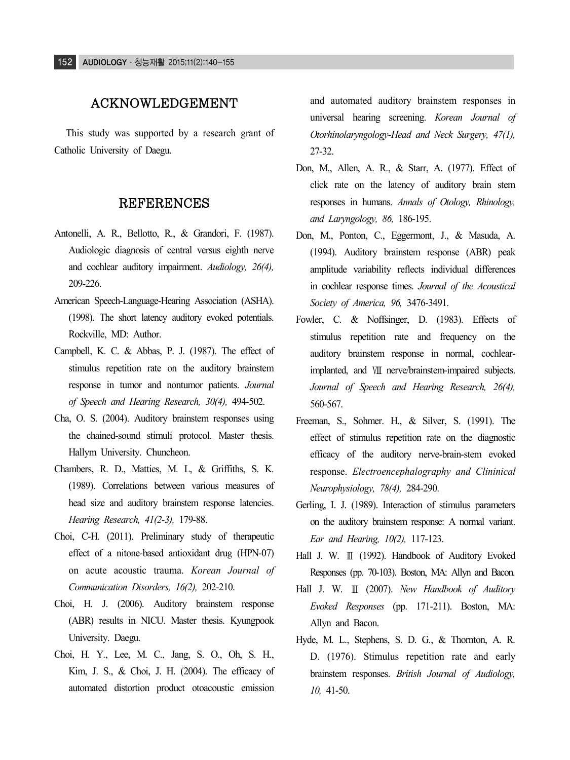# ACKNOWLEDGEMENT

This study was supported by a research grant of Catholic University of Daegu.

## REFERENCES

- Antonelli, A. R., Bellotto, R., & Grandori, F. (1987). Audiologic diagnosis of central versus eighth nerve and cochlear auditory impairment. *Audiology, 26(4),* 209-226.
- American Speech-Language-Hearing Association (ASHA). (1998). The short latency auditory evoked potentials. Rockville, MD: Author.
- Campbell, K. C. & Abbas, P. J. (1987). The effect of stimulus repetition rate on the auditory brainstem response in tumor and nontumor patients. *Journal of Speech and Hearing Research, 30(4),* 494-502.
- Cha, O. S. (2004). Auditory brainstem responses using the chained-sound stimuli protocol. Master thesis. Hallym University. Chuncheon.
- Chambers, R. D., Matties, M. L, & Griffiths, S. K. (1989). Correlations between various measures of head size and auditory brainstem response latencies. *Hearing Research, 41(2-3),* 179-88.
- Choi, C-H. (2011). Preliminary study of therapeutic effect of a nitone-based antioxidant drug (HPN-07) on acute acoustic trauma. *Korean Journal of Communication Disorders, 16(2),* 202-210.
- Choi, H. J. (2006). Auditory brainstem response (ABR) results in NICU. Master thesis. Kyungpook University. Daegu.
- Choi, H. Y., Lee, M. C., Jang, S. O., Oh, S. H., Kim, J. S., & Choi, J. H. (2004). The efficacy of automated distortion product otoacoustic emission

and automated auditory brainstem responses in universal hearing screening. *Korean Journal of Otorhinolaryngology-Head and Neck Surgery, 47(1),*  27-32.

- Don, M., Allen, A. R., & Starr, A. (1977). Effect of click rate on the latency of auditory brain stem responses in humans. *Annals of Otology, Rhinology, and Laryngology, 86,* 186-195.
- Don, M., Ponton, C., Eggermont, J., & Masuda, A. (1994). Auditory brainstem response (ABR) peak amplitude variability reflects individual differences in cochlear response times. *Journal of the Acoustical Society of America, 96,* 3476-3491.
- Fowler, C. & Noffsinger, D. (1983). Effects of stimulus repetition rate and frequency on the auditory brainstem response in normal, cochlearimplanted, and Ⅷ nerve/brainstem-impaired subjects. *Journal of Speech and Hearing Research, 26(4),*  560-567.
- Freeman, S., Sohmer. H., & Silver, S. (1991). The effect of stimulus repetition rate on the diagnostic efficacy of the auditory nerve-brain-stem evoked response. *Electroencephalography and Clininical Neurophysiology, 78(4),* 284-290.
- Gerling, I. J. (1989). Interaction of stimulus parameters on the auditory brainstem response: A normal variant. *Ear and Hearing, 10(2),* 117-123.
- Hall J. W. Ⅲ (1992). Handbook of Auditory Evoked Responses (pp. 70-103). Boston, MA: Allyn and Bacon.
- Hall J. W. Ⅲ (2007). *New Handbook of Auditory Evoked Responses* (pp. 171-211). Boston, MA: Allyn and Bacon.
- Hyde, M. L., Stephens, S. D. G., & Thornton, A. R. D. (1976). Stimulus repetition rate and early brainstem responses. *British Journal of Audiology, 10,* 41-50.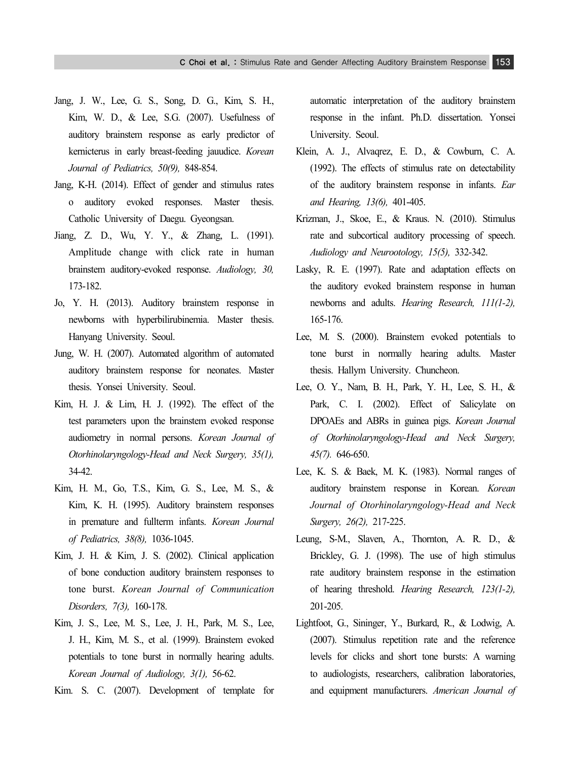- Jang, J. W., Lee, G. S., Song, D. G., Kim, S. H., Kim, W. D., & Lee, S.G. (2007). Usefulness of auditory brainstem response as early predictor of kernicterus in early breast-feeding jauudice. *Korean Journal of Pediatrics, 50(9),* 848-854.
- Jang, K-H. (2014). Effect of gender and stimulus rates o auditory evoked responses. Master thesis. Catholic University of Daegu. Gyeongsan.
- Jiang, Z. D., Wu, Y. Y., & Zhang, L. (1991). Amplitude change with click rate in human brainstem auditory-evoked response. *Audiology, 30,*  173-182.
- Jo, Y. H. (2013). Auditory brainstem response in newborns with hyperbilirubinemia. Master thesis. Hanyang University. Seoul.
- Jung, W. H. (2007). Automated algorithm of automated auditory brainstem response for neonates. Master thesis. Yonsei University. Seoul.
- Kim, H. J. & Lim, H. J. (1992). The effect of the test parameters upon the brainstem evoked response audiometry in normal persons. *Korean Journal of Otorhinolaryngology-Head and Neck Surgery, 35(1),*  34-42.
- Kim, H. M., Go, T.S., Kim, G. S., Lee, M. S., & Kim, K. H. (1995). Auditory brainstem responses in premature and fullterm infants. *Korean Journal of Pediatrics, 38(8),* 1036-1045.
- Kim, J. H. & Kim, J. S. (2002). Clinical application of bone conduction auditory brainstem responses to tone burst. *Korean Journal of Communication Disorders, 7(3),* 160-178.
- Kim, J. S., Lee, M. S., Lee, J. H., Park, M. S., Lee, J. H., Kim, M. S., et al. (1999). Brainstem evoked potentials to tone burst in normally hearing adults. *Korean Journal of Audiology, 3(1),* 56-62.
- Kim. S. C. (2007). Development of template for

automatic interpretation of the auditory brainstem response in the infant. Ph.D. dissertation. Yonsei University. Seoul.

- Klein, A. J., Alvaqrez, E. D., & Cowburn, C. A. (1992). The effects of stimulus rate on detectability of the auditory brainstem response in infants. *Ear and Hearing, 13(6),* 401-405.
- Krizman, J., Skoe, E., & Kraus. N. (2010). Stimulus rate and subcortical auditory processing of speech. *Audiology and Neurootology, 15(5),* 332-342.
- Lasky, R. E. (1997). Rate and adaptation effects on the auditory evoked brainstem response in human newborns and adults. *Hearing Research, 111(1-2),*  165-176.
- Lee, M. S. (2000). Brainstem evoked potentials to tone burst in normally hearing adults. Master thesis. Hallym University. Chuncheon.
- Lee, O. Y., Nam, B. H., Park, Y. H., Lee, S. H., & Park, C. I. (2002). Effect of Salicylate on DPOAEs and ABRs in guinea pigs. *Korean Journal of Otorhinolaryngology-Head and Neck Surgery, 45(7).* 646-650.
- Lee, K. S. & Baek, M. K. (1983). Normal ranges of auditory brainstem response in Korean. *Korean Journal of Otorhinolaryngology-Head and Neck Surgery, 26(2),* 217-225.
- Leung, S-M., Slaven, A., Thornton, A. R. D., & Brickley, G. J. (1998). The use of high stimulus rate auditory brainstem response in the estimation of hearing threshold. *Hearing Research, 123(1-2),*  201-205.
- Lightfoot, G., Sininger, Y., Burkard, R., & Lodwig, A. (2007). Stimulus repetition rate and the reference levels for clicks and short tone bursts: A warning to audiologists, researchers, calibration laboratories, and equipment manufacturers. *American Journal of*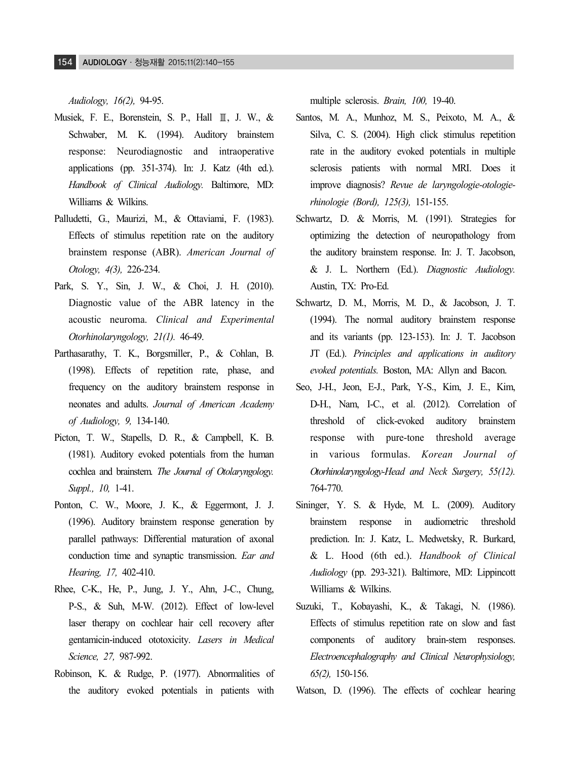*Audiology, 16(2),* 94-95.

- Musiek, F. E., Borenstein, S. P., Hall Ⅲ, J. W., & Schwaber, M. K. (1994). Auditory brainstem response: Neurodiagnostic and intraoperative applications (pp. 351-374). In: J. Katz (4th ed.). *Handbook of Clinical Audiology.* Baltimore, MD: Williams & Wilkins.
- Palludetti, G., Maurizi, M., & Ottaviami, F. (1983). Effects of stimulus repetition rate on the auditory brainstem response (ABR). *American Journal of Otology, 4(3),* 226-234.
- Park, S. Y., Sin, J. W., & Choi, J. H. (2010). Diagnostic value of the ABR latency in the acoustic neuroma. *Clinical and Experimental Otorhinolaryngology, 21(1).* 46-49.
- Parthasarathy, T. K., Borgsmiller, P., & Cohlan, B. (1998). Effects of repetition rate, phase, and frequency on the auditory brainstem response in neonates and adults. *Journal of American Academy of Audiology, 9,* 134-140.
- Picton, T. W., Stapells, D. R., & Campbell, K. B. (1981). Auditory evoked potentials from the human cochlea and brainstem. *The Journal of Otolaryngology. Suppl., 10,* 1-41.
- Ponton, C. W., Moore, J. K., & Eggermont, J. J. (1996). Auditory brainstem response generation by parallel pathways: Differential maturation of axonal conduction time and synaptic transmission. *Ear and Hearing, 17,* 402-410.
- Rhee, C-K., He, P., Jung, J. Y., Ahn, J-C., Chung, P-S., & Suh, M-W. (2012). Effect of low-level laser therapy on cochlear hair cell recovery after gentamicin-induced ototoxicity. *Lasers in Medical Science, 27,* 987-992.
- Robinson, K. & Rudge, P. (1977). Abnormalities of the auditory evoked potentials in patients with

multiple sclerosis. *Brain, 100,* 19-40.

- Santos, M. A., Munhoz, M. S., Peixoto, M. A., & Silva, C. S. (2004). High click stimulus repetition rate in the auditory evoked potentials in multiple sclerosis patients with normal MRI. Does it improve diagnosis? *Revue de laryngologie-otologierhinologie (Bord), 125(3),* 151-155.
- Schwartz, D. & Morris, M. (1991). Strategies for optimizing the detection of neuropathology from the auditory brainstem response. In: J. T. Jacobson, & J. L. Northern (Ed.). *Diagnostic Audiology.*  Austin, TX: Pro-Ed.
- Schwartz, D. M., Morris, M. D., & Jacobson, J. T. (1994). The normal auditory brainstem response and its variants (pp. 123-153). In: J. T. Jacobson JT (Ed.). *Principles and applications in auditory evoked potentials.* Boston, MA: Allyn and Bacon.
- Seo, J-H., Jeon, E-J., Park, Y-S., Kim, J. E., Kim, D-H., Nam, I-C., et al. (2012). Correlation of threshold of click-evoked auditory brainstem response with pure-tone threshold average in various formulas. *Korean Journal of Otorhinolaryngology-Head and Neck Surgery, 55(12).*  764-770.
- Sininger, Y. S. & Hyde, M. L. (2009). Auditory brainstem response in audiometric threshold prediction. In: J. Katz, L. Medwetsky, R. Burkard, & L. Hood (6th ed.). *Handbook of Clinical Audiology* (pp. 293-321). Baltimore, MD: Lippincott Williams & Wilkins.
- Suzuki, T., Kobayashi, K., & Takagi, N. (1986). Effects of stimulus repetition rate on slow and fast components of auditory brain-stem responses. *Electroencephalography and Clinical Neurophysiology, 65(2),* 150-156.

Watson, D. (1996). The effects of cochlear hearing